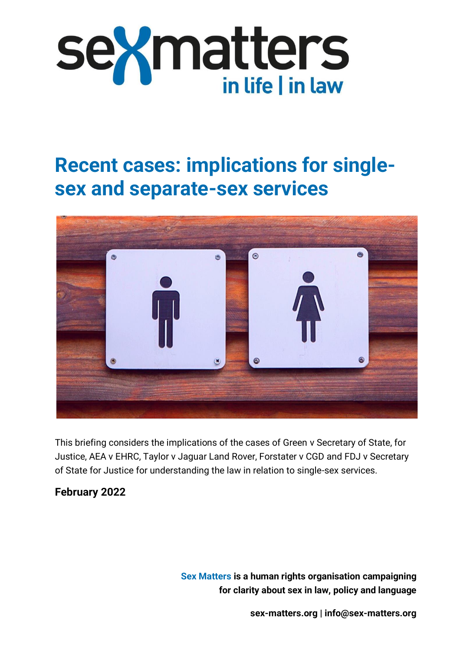

# **Recent cases: implications for singlesex and separate-sex services**



This briefing considers the implications of the cases of Green v Secretary of State, for Justice, AEA v EHRC, Taylor v Jaguar Land Rover, Forstater v CGD and FDJ v Secretary of State for Justice for understanding the law in relation to single-sex services.

#### **February 2022**

**Sex Matters is a human rights organisation campaigning for clarity about sex in law, policy and language**

**[sex-matters.org](https://sex-matters.org/) | [info@sex-matters.org](mailto:info@sex-matters.org)**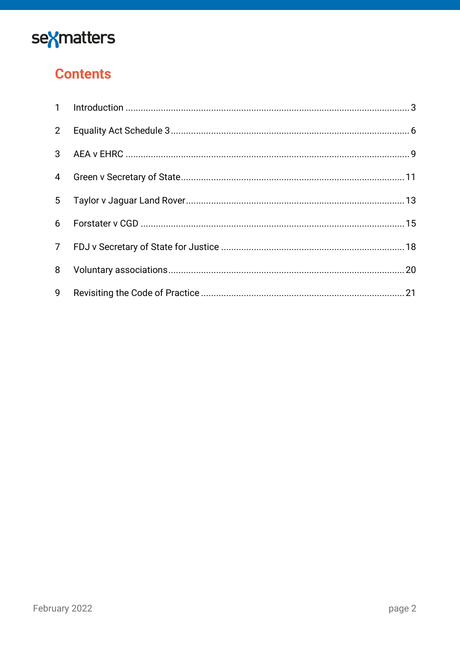

# **Contents**

| $2^{\circ}$ |  |
|-------------|--|
|             |  |
| 4           |  |
|             |  |
| 6           |  |
|             |  |
| 8           |  |
| 9           |  |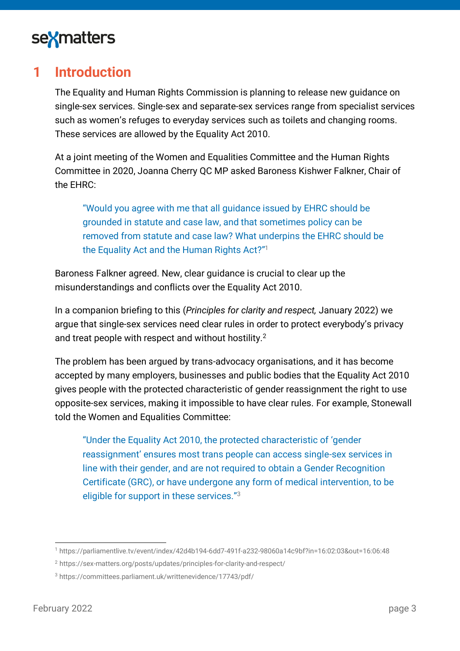

### <span id="page-2-0"></span>**1 Introduction**

The Equality and Human Rights Commission is planning to release new guidance on single-sex services. Single-sex and separate-sex services range from specialist services such as women's refuges to everyday services such as toilets and changing rooms. These services are allowed by the Equality Act 2010.

At a joint meeting of the Women and Equalities Committee and the Human Rights Committee in 2020, Joanna Cherry QC MP asked Baroness Kishwer Falkner, Chair of the EHRC:

"Would you agree with me that all guidance issued by EHRC should be grounded in statute and case law, and that sometimes policy can be removed from statute and case law? What underpins the EHRC should be the Equality Act and the Human Rights Act?"<sup>1</sup>

Baroness Falkner agreed. New, clear guidance is crucial to clear up the misunderstandings and conflicts over the Equality Act 2010.

In a companion briefing to this (*Principles for clarity and respect,* January 2022) we argue that single-sex services need clear rules in order to protect everybody's privacy and treat people with respect and without hostility.<sup>2</sup>

The problem has been argued by trans-advocacy organisations, and it has become accepted by many employers, businesses and public bodies that the Equality Act 2010 gives people with the protected characteristic of gender reassignment the right to use opposite-sex services, making it impossible to have clear rules. For example, Stonewall told the Women and Equalities Committee:

"Under the Equality Act 2010, the protected characteristic of 'gender reassignment' ensures most trans people can access single-sex services in line with their gender, and are not required to obtain a Gender Recognition Certificate (GRC), or have undergone any form of medical intervention, to be eligible for support in these services."<sup>3</sup>

<sup>1</sup> <https://parliamentlive.tv/event/index/42d4b194-6dd7-491f-a232-98060a14c9bf?in=16:02:03&out=16:06:48>

<sup>2</sup> <https://sex-matters.org/posts/updates/principles-for-clarity-and-respect/>

<sup>3</sup> <https://committees.parliament.uk/writtenevidence/17743/pdf/>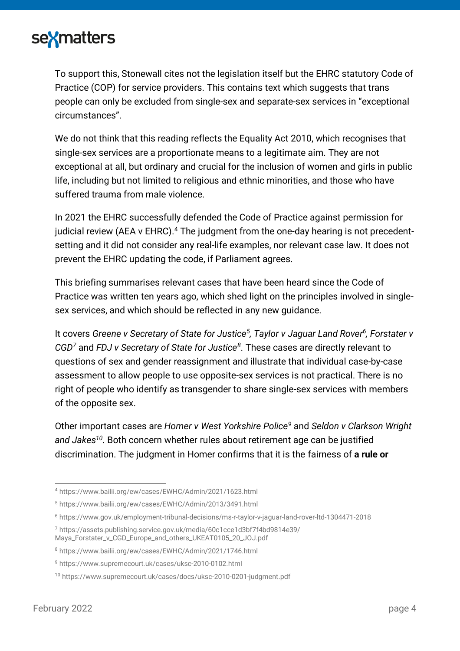

To support this, Stonewall cites not the legislation itself but the EHRC statutory Code of Practice (COP) for service providers. This contains text which suggests that trans people can only be excluded from single-sex and separate-sex services in "exceptional circumstances".

We do not think that this reading reflects the Equality Act 2010, which recognises that single-sex services are a proportionate means to a legitimate aim. They are not exceptional at all, but ordinary and crucial for the inclusion of women and girls in public life, including but not limited to religious and ethnic minorities, and those who have suffered trauma from male violence.

In 2021 the EHRC successfully defended the Code of Practice against permission for judicial review (AEA v EHRC). $4$  The judgment from the one-day hearing is not precedentsetting and it did not consider any real-life examples, nor relevant case law. It does not prevent the EHRC updating the code, if Parliament agrees.

This briefing summarises relevant cases that have been heard since the Code of Practice was written ten years ago, which shed light on the principles involved in singlesex services, and which should be reflected in any new guidance.

It covers *Greene v Secretary of State for Justice<sup>5</sup> , Taylor v Jaguar Land Rover 6 , Forstater v CGD<sup>7</sup>* and *FDJ v Secretary of State for Justice<sup>8</sup>* . These cases are directly relevant to questions of sex and gender reassignment and illustrate that individual case-by-case assessment to allow people to use opposite-sex services is not practical. There is no right of people who identify as transgender to share single-sex services with members of the opposite sex.

Other important cases are *Homer v West Yorkshire Police<sup>9</sup>* and *Seldon v Clarkson Wright and Jakes<sup>10</sup>*. Both concern whether rules about retirement age can be justified discrimination. The judgment in Homer confirms that it is the fairness of **a rule or** 

<sup>4</sup> <https://www.bailii.org/ew/cases/EWHC/Admin/2021/1623.html>

<sup>5</sup> [https://www.bailii.org/ew/cases/EWHC/Admin/2013/3491.html](ttps://www.bailii.org/ew/cases/EWHC/Admin/2013/3491.html)

<sup>6</sup> <https://www.gov.uk/employment-tribunal-decisions/ms-r-taylor-v-jaguar-land-rover-ltd-1304471-2018>

<sup>7</sup> [https://assets.publishing.service.gov.uk/media/60c1cce1d3bf7f4bd9814e39/](https://assets.publishing.service.gov.uk/media/60c1cce1d3bf7f4bd9814e39/Maya_Forstater_v_CGD_Europe_and_others_UKEAT0105_20_JOJ.pdf) [Maya\\_Forstater\\_v\\_CGD\\_Europe\\_and\\_others\\_UKEAT0105\\_20\\_JOJ.pdf](https://assets.publishing.service.gov.uk/media/60c1cce1d3bf7f4bd9814e39/Maya_Forstater_v_CGD_Europe_and_others_UKEAT0105_20_JOJ.pdf)

<sup>8</sup> <https://www.bailii.org/ew/cases/EWHC/Admin/2021/1746.html>

<sup>9</sup> <https://www.supremecourt.uk/cases/uksc-2010-0102.html>

<sup>10</sup> <https://www.supremecourt.uk/cases/docs/uksc-2010-0201-judgment.pdf>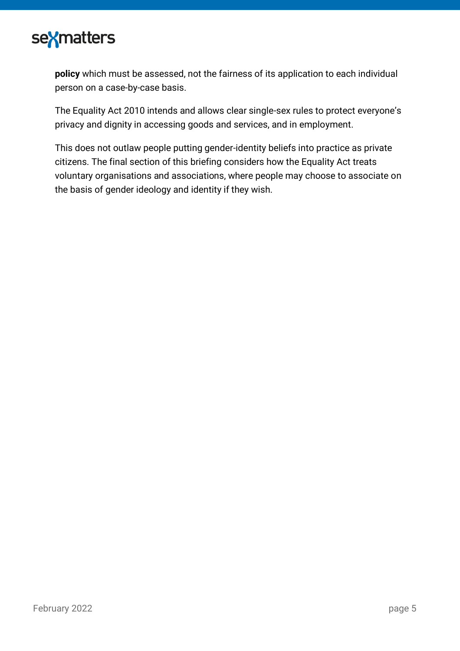

**policy** which must be assessed, not the fairness of its application to each individual person on a case-by-case basis.

The Equality Act 2010 intends and allows clear single-sex rules to protect everyone's privacy and dignity in accessing goods and services, and in employment.

This does not outlaw people putting gender-identity beliefs into practice as private citizens. The final section of this briefing considers how the Equality Act treats voluntary organisations and associations, where people may choose to associate on the basis of gender ideology and identity if they wish.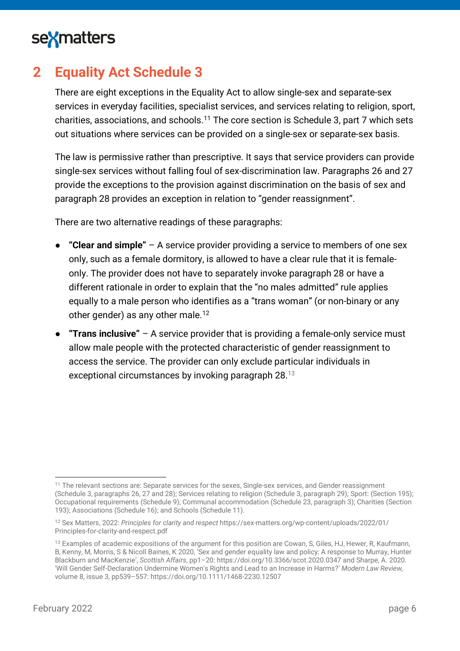

# <span id="page-5-0"></span>**2 Equality Act Schedule 3**

There are eight exceptions in the Equality Act to allow single-sex and separate-sex services in everyday facilities, specialist services, and services relating to religion, sport, charities, associations, and schools.<sup>11</sup> The core section is Schedule 3, part 7 which sets out situations where services can be provided on a single-sex or separate-sex basis.

The law is permissive rather than prescriptive. It says that service providers can provide single-sex services without falling foul of sex-discrimination law. Paragraphs 26 and 27 provide the exceptions to the provision against discrimination on the basis of sex and paragraph 28 provides an exception in relation to "gender reassignment".

There are two alternative readings of these paragraphs:

- **"Clear and simple"** A service provider providing a service to members of one sex only, such as a female dormitory, is allowed to have a clear rule that it is femaleonly. The provider does not have to separately invoke paragraph 28 or have a different rationale in order to explain that the "no males admitted" rule applies equally to a male person who identifies as a "trans woman" (or non-binary or any other gender) as any other male.<sup>12</sup>
- **"Trans inclusive"** A service provider that is providing a female-only service must allow male people with the protected characteristic of gender reassignment to access the service. The provider can only exclude particular individuals in exceptional circumstances by invoking paragraph 28.<sup>13</sup>

<sup>&</sup>lt;sup>11</sup> The relevant sections are: Separate services for the sexes, Single-sex services, and Gender reassignment (Schedule 3, paragraphs 26, 27 and 28); Services relating to religion (Schedule 3, paragraph 29); Sport: (Section 195); Occupational requirements (Schedule 9); Communal accommodation (Schedule 23, paragraph 3); Charities (Section 193); Associations (Schedule 16); and Schools (Schedule 11).

<sup>12</sup> Sex Matters, 2022: *Principles for clarity and respect* [https://sex-matters.org/wp-content/uploads/2022/01/](https://sex-matters.org/wp-content/uploads/2022/01/Principles-for-clarity-and-respect.pdf) [Principles-for-clarity-and-respect.pdf](https://sex-matters.org/wp-content/uploads/2022/01/Principles-for-clarity-and-respect.pdf)

<sup>&</sup>lt;sup>13</sup> Examples of academic expositions of the argument for this position are Cowan, S, Giles, HJ, Hewer, R, Kaufmann, B, Kenny, M, Morris, S & Nicoll Baines, K 2020, 'Sex and gender equality law and policy: A response to Murray, Hunter Blackburn and MacKenzie', *Scottish Affairs*, pp1–20: <https://doi.org/10.3366/scot.2020.0347> and Sharpe, A. 2020. 'Will Gender Self-Declaration Undermine Women's Rights and Lead to an Increase in Harms?' *Modern Law Review,* volume 8, issue 3, pp539–557: <https://doi.org/10.1111/1468-2230.12507>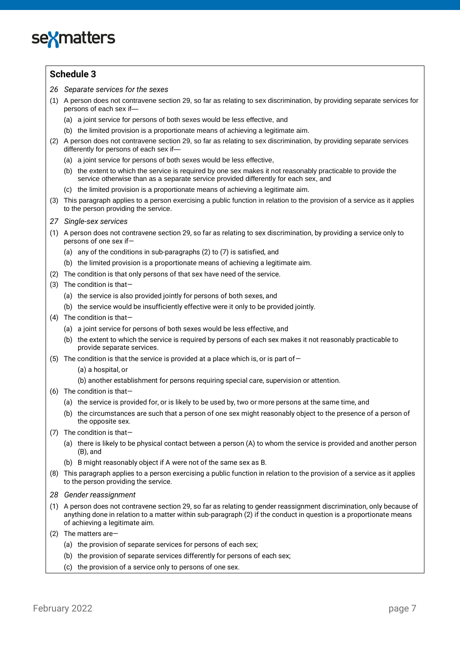

#### **Schedule 3**

- *26 Separate services for the sexes*
- (1) A person does not contravene section 29, so far as relating to sex discrimination, by providing separate services for persons of each sex if—
	- (a) a joint service for persons of both sexes would be less effective, and
	- (b) the limited provision is a proportionate means of achieving a legitimate aim.
- (2) A person does not contravene section 29, so far as relating to sex discrimination, by providing separate services differently for persons of each sex if—
	- (a) a joint service for persons of both sexes would be less effective,
	- (b) the extent to which the service is required by one sex makes it not reasonably practicable to provide the service otherwise than as a separate service provided differently for each sex, and
	- (c) the limited provision is a proportionate means of achieving a legitimate aim.
- (3) This paragraph applies to a person exercising a public function in relation to the provision of a service as it applies to the person providing the service.
- *27 Single-sex services*
- (1) A person does not contravene section 29, so far as relating to sex discrimination, by providing a service only to persons of one sex if—
	- (a) any of the conditions in sub-paragraphs (2) to (7) is satisfied, and
	- (b) the limited provision is a proportionate means of achieving a legitimate aim.
- (2) The condition is that only persons of that sex have need of the service.
- (3) The condition is that—
	- (a) the service is also provided jointly for persons of both sexes, and
	- (b) the service would be insufficiently effective were it only to be provided jointly.
- (4) The condition is that—
	- (a) a joint service for persons of both sexes would be less effective, and
	- (b) the extent to which the service is required by persons of each sex makes it not reasonably practicable to provide separate services.
- (5) The condition is that the service is provided at a place which is, or is part of  $-$ 
	- (a) a hospital, or
	- (b) another establishment for persons requiring special care, supervision or attention.
- (6) The condition is that—
	- (a) the service is provided for, or is likely to be used by, two or more persons at the same time, and
	- (b) the circumstances are such that a person of one sex might reasonably object to the presence of a person of the opposite sex.
- (7) The condition is that—
	- (a) there is likely to be physical contact between a person (A) to whom the service is provided and another person (B), and
	- (b) B might reasonably object if A were not of the same sex as B.
- (8) This paragraph applies to a person exercising a public function in relation to the provision of a service as it applies to the person providing the service.
- *28 Gender reassignment*
- (1) A person does not contravene section 29, so far as relating to gender reassignment discrimination, only because of anything done in relation to a matter within sub-paragraph (2) if the conduct in question is a proportionate means of achieving a legitimate aim.
- (2) The matters are—
	- (a) the provision of separate services for persons of each sex;
	- (b) the provision of separate services differently for persons of each sex;
	- (c) the provision of a service only to persons of one sex.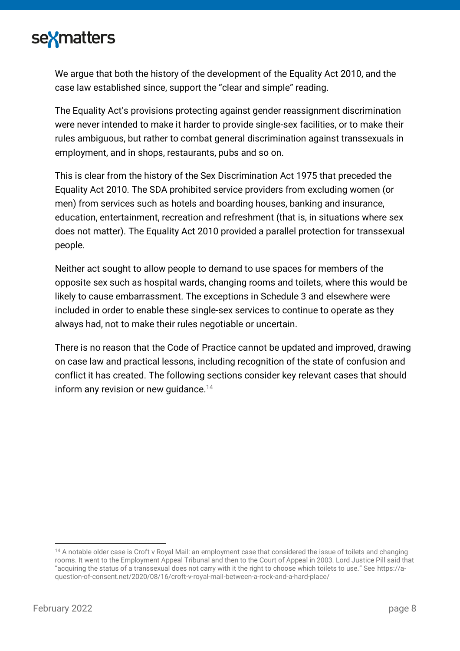

We argue that both the history of the development of the Equality Act 2010, and the case law established since, support the "clear and simple" reading.

The Equality Act's provisions protecting against gender reassignment discrimination were never intended to make it harder to provide single-sex facilities, or to make their rules ambiguous, but rather to combat general discrimination against transsexuals in employment, and in shops, restaurants, pubs and so on.

This is clear from the history of the Sex Discrimination Act 1975 that preceded the Equality Act 2010. The SDA prohibited service providers from excluding women (or men) from services such as hotels and boarding houses, banking and insurance, education, entertainment, recreation and refreshment (that is, in situations where sex does not matter). The Equality Act 2010 provided a parallel protection for transsexual people.

Neither act sought to allow people to demand to use spaces for members of the opposite sex such as hospital wards, changing rooms and toilets, where this would be likely to cause embarrassment. The exceptions in Schedule 3 and elsewhere were included in order to enable these single-sex services to continue to operate as they always had, not to make their rules negotiable or uncertain.

There is no reason that the Code of Practice cannot be updated and improved, drawing on case law and practical lessons, including recognition of the state of confusion and conflict it has created. The following sections consider key relevant cases that should inform any revision or new quidance.<sup>14</sup>

<sup>&</sup>lt;sup>14</sup> A notable older case is Croft v Royal Mail: an employment case that considered the issue of toilets and changing rooms. It went to the Employment Appeal Tribunal and then to the Court of Appeal in 2003. Lord Justice Pill said that "acquiring the status of a transsexual does not carry with it the right to choose which toilets to use." See [https://a](https://a-question-of-consent.net/2020/08/16/croft-v-royal-mail-between-a-rock-and-a-hard-place/)[question-of-consent.net/2020/08/16/croft-v-royal-mail-between-a-rock-and-a-hard-place/](https://a-question-of-consent.net/2020/08/16/croft-v-royal-mail-between-a-rock-and-a-hard-place/)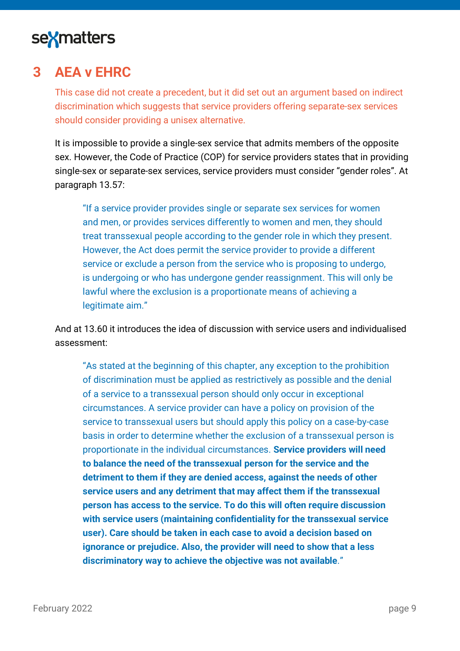

### <span id="page-8-0"></span>**3 AEA v EHRC**

This case did not create a precedent, but it did set out an argument based on indirect discrimination which suggests that service providers offering separate-sex services should consider providing a unisex alternative.

It is impossible to provide a single-sex service that admits members of the opposite sex. However, the Code of Practice (COP) for service providers states that in providing single-sex or separate-sex services, service providers must consider "gender roles". At paragraph 13.57:

"If a service provider provides single or separate sex services for women and men, or provides services differently to women and men, they should treat transsexual people according to the gender role in which they present. However, the Act does permit the service provider to provide a different service or exclude a person from the service who is proposing to undergo, is undergoing or who has undergone gender reassignment. This will only be lawful where the exclusion is a proportionate means of achieving a legitimate aim."

And at 13.60 it introduces the idea of discussion with service users and individualised assessment:

"As stated at the beginning of this chapter, any exception to the prohibition of discrimination must be applied as restrictively as possible and the denial of a service to a transsexual person should only occur in exceptional circumstances. A service provider can have a policy on provision of the service to transsexual users but should apply this policy on a case-by-case basis in order to determine whether the exclusion of a transsexual person is proportionate in the individual circumstances. **Service providers will need to balance the need of the transsexual person for the service and the detriment to them if they are denied access, against the needs of other service users and any detriment that may affect them if the transsexual person has access to the service. To do this will often require discussion with service users (maintaining confidentiality for the transsexual service user). Care should be taken in each case to avoid a decision based on ignorance or prejudice. Also, the provider will need to show that a less discriminatory way to achieve the objective was not available**."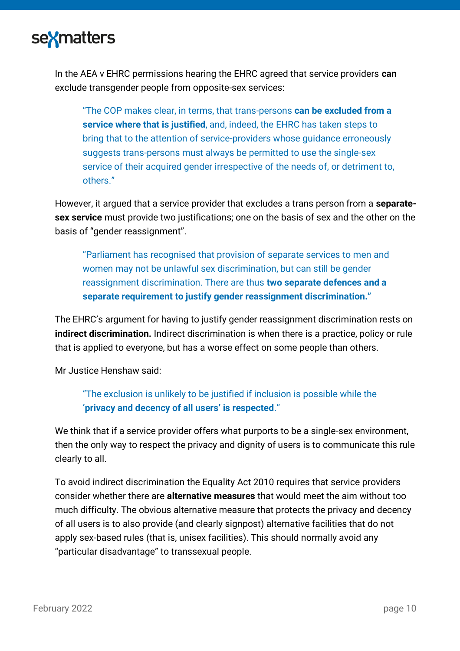

In the AEA v EHRC permissions hearing the EHRC agreed that service providers **can** exclude transgender people from opposite-sex services:

"The COP makes clear, in terms, that trans-persons **can be excluded from a service where that is justified**, and, indeed, the EHRC has taken steps to bring that to the attention of service-providers whose guidance erroneously suggests trans-persons must always be permitted to use the single-sex service of their acquired gender irrespective of the needs of, or detriment to, others."

However, it argued that a service provider that excludes a trans person from a **separatesex service** must provide two justifications; one on the basis of sex and the other on the basis of "gender reassignment".

"Parliament has recognised that provision of separate services to men and women may not be unlawful sex discrimination, but can still be gender reassignment discrimination. There are thus **two separate defences and a separate requirement to justify gender reassignment discrimination."**

The EHRC's argument for having to justify gender reassignment discrimination rests on **indirect discrimination.** Indirect discrimination is when there is a practice, policy or rule that is applied to everyone, but has a worse effect on some people than others.

Mr Justice Henshaw said:

"The exclusion is unlikely to be justified if inclusion is possible while the **'privacy and decency of all users' is respected**."

We think that if a service provider offers what purports to be a single-sex environment, then the only way to respect the privacy and dignity of users is to communicate this rule clearly to all.

To avoid indirect discrimination the Equality Act 2010 requires that service providers consider whether there are **alternative measures** that would meet the aim without too much difficulty. The obvious alternative measure that protects the privacy and decency of all users is to also provide (and clearly signpost) alternative facilities that do not apply sex-based rules (that is, unisex facilities). This should normally avoid any "particular disadvantage" to transsexual people.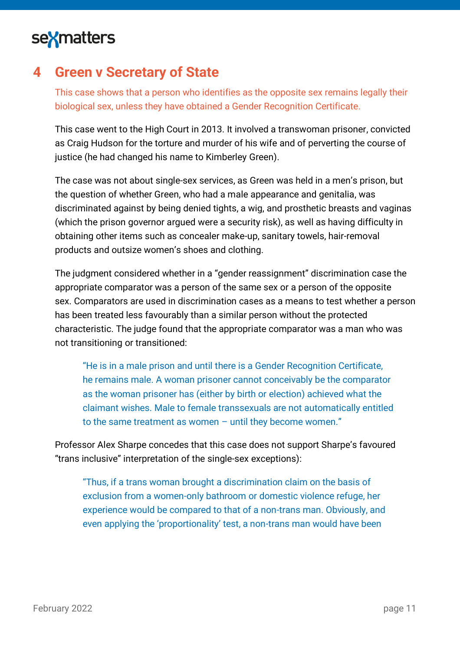

### <span id="page-10-0"></span>**4 Green v Secretary of State**

This case shows that a person who identifies as the opposite sex remains legally their biological sex, unless they have obtained a Gender Recognition Certificate.

This case went to the High Court in 2013. It involved a transwoman prisoner, convicted as Craig Hudson for the [torture and murder of his wife](https://www.theguardian.com/society/2006/jan/11/crime.penal) and of perverting the course of justice (he had changed his name to Kimberley Green).

The case was not about single-sex services, as Green was held in a men's prison, but the question of whether Green, who had a male appearance and genitalia, was discriminated against by being denied tights, a wig, and prosthetic breasts and vaginas (which the prison governor argued were a security risk), as well as having difficulty in obtaining other items such as concealer make-up, sanitary towels, hair-removal products and outsize women's shoes and clothing.

The judgment considered whether in a "gender reassignment" discrimination case the appropriate comparator was a person of the same sex or a person of the opposite sex. [Comparators](https://www.cloisters.com/wp-content/uploads/2014/03/comparators-in-direct-discrimination-cases-9-9-11-final.pdf) are used in discrimination cases as a means to test whether a person has been treated less favourably than a similar person without the protected characteristic. The judge found that the appropriate comparator was a man who was not transitioning or transitioned:

"He is in a male prison and until there is a Gender Recognition Certificate, he remains male. A woman prisoner cannot conceivably be the comparator as the woman prisoner has (either by birth or election) achieved what the claimant wishes. Male to female transsexuals are not automatically entitled to the same treatment as women – until they become women."

Professor Alex Sharpe concedes that this case does not support Sharpe's favoured "trans inclusive" interpretation of the single-sex exceptions):

"Thus, if a trans woman brought a discrimination claim on the basis of exclusion from a women-only bathroom or domestic violence refuge, her experience would be compared to that of a non-trans man. Obviously, and even applying the 'proportionality' test, a non-trans man would have been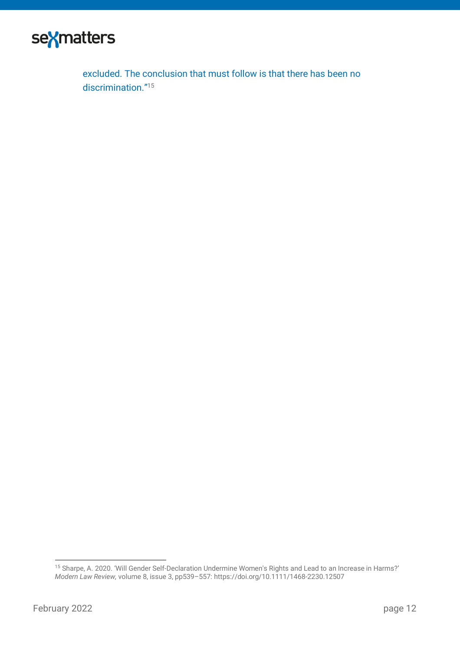

excluded. The conclusion that must follow is that there has been no discrimination."<sup>15</sup>

<sup>15</sup> Sharpe, A. 2020. 'Will Gender Self-Declaration Undermine Women's Rights and Lead to an Increase in Harms?' *Modern Law Review,* volume 8, issue 3, pp539–557: <https://doi.org/10.1111/1468-2230.12507>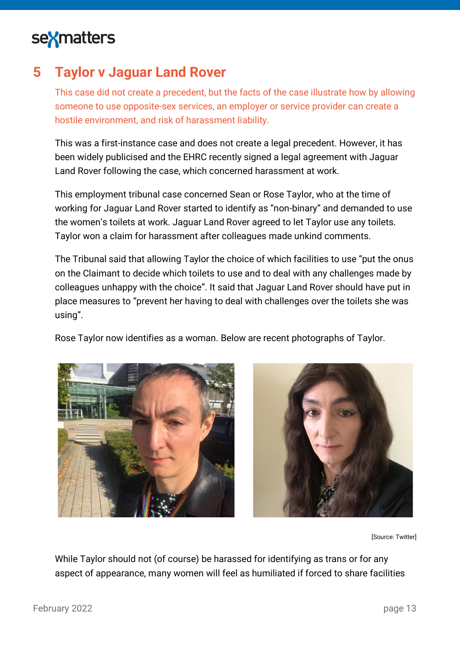

### <span id="page-12-0"></span>**5 Taylor v Jaguar Land Rover**

This case did not create a precedent, but the facts of the case illustrate how by allowing someone to use opposite-sex services, an employer or service provider can create a hostile environment, and risk of harassment liability.

This was a first-instance case and does not create a legal precedent. However, it has been widely publicised and the EHRC recently signed a legal agreement with Jaguar Land Rover following the case, which concerned harassment at work.

This employment tribunal case concerned Sean or Rose Taylor, who at the time of working for Jaguar Land Rover started to identify as "non-binary" and demanded to use the women's toilets at work. Jaguar Land Rover agreed to let Taylor use any toilets. Taylor won a claim for harassment after colleagues made unkind comments.

The Tribunal said that allowing Taylor the choice of which facilities to use "put the onus on the Claimant to decide which toilets to use and to deal with any challenges made by colleagues unhappy with the choice". It said that Jaguar Land Rover should have put in place measures to "prevent her having to deal with challenges over the toilets she was using".

Rose Taylor now identifies as a woman. Below are recent photographs of Taylor.





[Source: Twitter]

While Taylor should not (of course) be harassed for identifying as trans or for any aspect of appearance, many women will feel as humiliated if forced to share facilities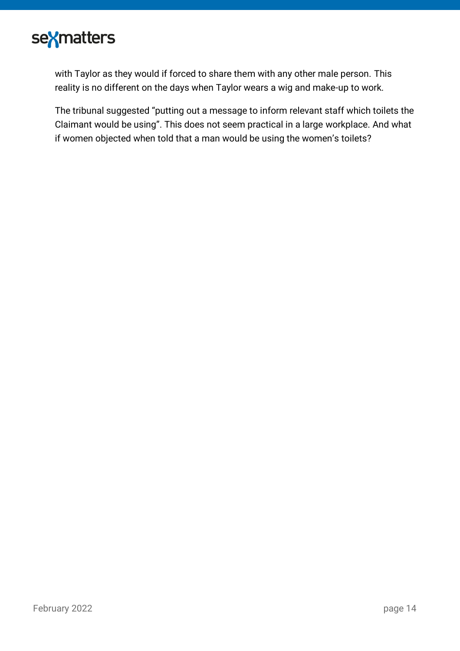

with Taylor as they would if forced to share them with any other male person. This reality is no different on the days when Taylor wears a wig and make-up to work.

The tribunal suggested "putting out a message to inform relevant staff which toilets the Claimant would be using". This does not seem practical in a large workplace. And what if women objected when told that a man would be using the women's toilets?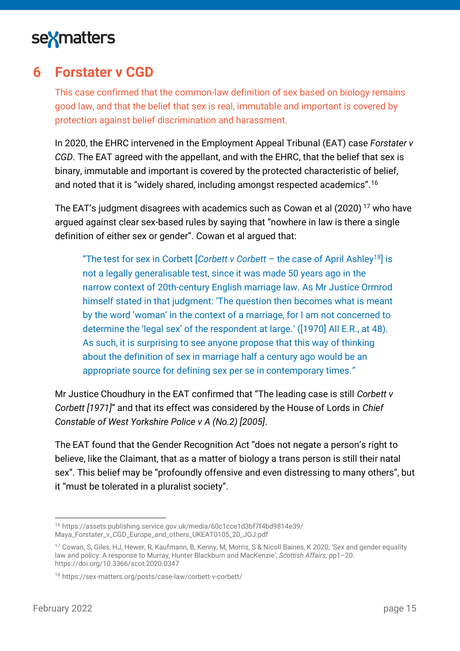

### <span id="page-14-0"></span>**6 Forstater v CGD**

This case confirmed that the common-law definition of sex based on biology remains good law, and that the belief that sex is real, immutable and important is covered by protection against belief discrimination and harassment.

In 2020, the EHRC intervened in the Employment Appeal Tribunal (EAT) case *Forstater v CGD*. The EAT agreed with the appellant, and with the EHRC, that the belief that sex is binary, immutable and important is covered by the protected characteristic of belief, and noted that it is "widely shared, including amongst respected academics". 16

The EAT's judgment disagrees with academics such as Cowan et al (2020)<sup>17</sup> who have argued against clear sex-based rules by saying that "nowhere in law is there a single definition of either sex or gender". Cowan et al argued that:

"The test for sex in Corbett [*Corbett v Corbett* – the case of April Ashley<sup>18</sup>] is not a legally generalisable test, since it was made 50 years ago in the narrow context of 20th-century English marriage law. As Mr Justice Ormrod himself stated in that judgment: 'The question then becomes what is meant by the word 'woman' in the context of a marriage, for I am not concerned to determine the 'legal sex' of the respondent at large.' ([1970] All E.R., at 48). As such, it is surprising to see anyone propose that this way of thinking about the definition of sex in marriage half a century ago would be an appropriate source for defining sex per se in contemporary times."

Mr Justice Choudhury in the EAT confirmed that "The leading case is still *Corbett v Corbett [1971]*" and that its effect was considered by the House of Lords in *Chief Constable of West Yorkshire Police v A (No.2) [2005]*.

The EAT found that the Gender Recognition Act "does not negate a person's right to believe, like the Claimant, that as a matter of biology a trans person is still their natal sex". This belief may be "profoundly offensive and even distressing to many others", but it "must be tolerated in a pluralist society".

<sup>16</sup> [https://assets.publishing.service.gov.uk/media/60c1cce1d3bf7f4bd9814e39/](https://assets.publishing.service.gov.uk/media/60c1cce1d3bf7f4bd9814e39/Maya_Forstater_v_CGD_Europe_and_others_UKEAT0105_20_JOJ.pdf) [Maya\\_Forstater\\_v\\_CGD\\_Europe\\_and\\_others\\_UKEAT0105\\_20\\_JOJ.pdf](https://assets.publishing.service.gov.uk/media/60c1cce1d3bf7f4bd9814e39/Maya_Forstater_v_CGD_Europe_and_others_UKEAT0105_20_JOJ.pdf)

<sup>17</sup> Cowan, S, Giles, HJ, Hewer, R, Kaufmann, B, Kenny, M, Morris, S & Nicoll Baines, K 2020, 'Sex and gender equality law and policy: A response to Murray, Hunter Blackburn and MacKenzie', *Scottish Affairs,* pp1–20. <https://doi.org/10.3366/scot.2020.0347>

<sup>18</sup> <https://sex-matters.org/posts/case-law/corbett-v-corbett/>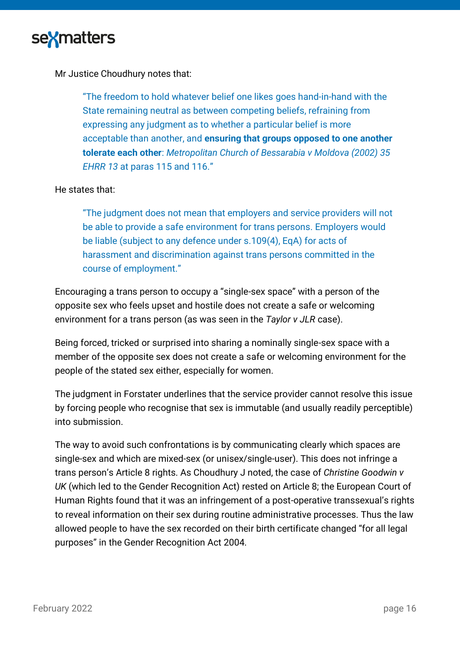

Mr Justice Choudhury notes that:

"The freedom to hold whatever belief one likes goes hand-in-hand with the State remaining neutral as between competing beliefs, refraining from expressing any judgment as to whether a particular belief is more acceptable than another, and **ensuring that groups opposed to one another tolerate each other**: *Metropolitan Church of Bessarabia v Moldova (2002) 35 EHRR 13* at paras 115 and 116."

#### He states that:

"The judgment does not mean that employers and service providers will not be able to provide a safe environment for trans persons. Employers would be liable (subject to any defence under s.109(4), EqA) for acts of harassment and discrimination against trans persons committed in the course of employment."

Encouraging a trans person to occupy a "single-sex space" with a person of the opposite sex who feels upset and hostile does not create a safe or welcoming environment for a trans person (as was seen in the *Taylor v JLR* case).

Being forced, tricked or surprised into sharing a nominally single-sex space with a member of the opposite sex does not create a safe or welcoming environment for the people of the stated sex either, especially for women.

The judgment in Forstater underlines that the service provider cannot resolve this issue by forcing people who recognise that sex is immutable (and usually readily perceptible) into submission.

The way to avoid such confrontations is by communicating clearly which spaces are single-sex and which are mixed-sex (or unisex/single-user). This does not infringe a trans person's Article 8 rights. As Choudhury J noted, the case of *Christine Goodwin v UK* (which led to the Gender Recognition Act) rested on Article 8; the European Court of Human Rights found that it was an infringement of a post-operative transsexual's rights to reveal information on their sex during routine administrative processes. Thus the law allowed people to have the sex recorded on their birth certificate changed "for all legal purposes" in the Gender Recognition Act 2004.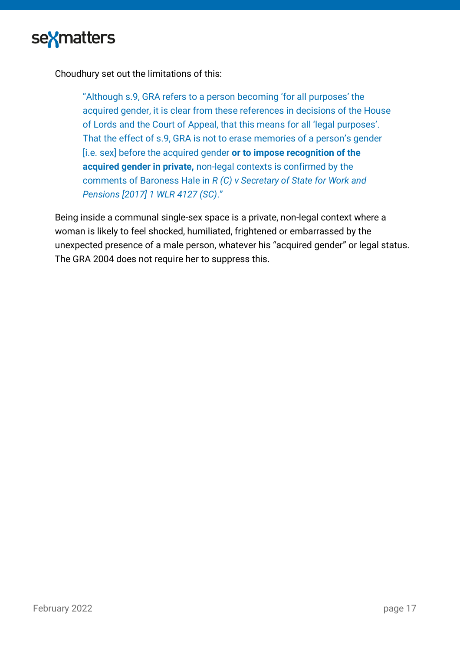

Choudhury set out the limitations of this:

"Although s.9, GRA refers to a person becoming 'for all purposes' the acquired gender, it is clear from these references in decisions of the House of Lords and the Court of Appeal, that this means for all 'legal purposes'. That the effect of s.9, GRA is not to erase memories of a person's gender [i.e. sex] before the acquired gender **or to impose recognition of the acquired gender in private,** non-legal contexts is confirmed by the comments of Baroness Hale in *R (C) v Secretary of State for Work and Pensions [2017] 1 WLR 4127 (SC)*."

Being inside a communal single-sex space is a private, non-legal context where a woman is likely to feel shocked, humiliated, frightened or embarrassed by the unexpected presence of a male person, whatever his "acquired gender" or legal status. The GRA 2004 does not require her to suppress this.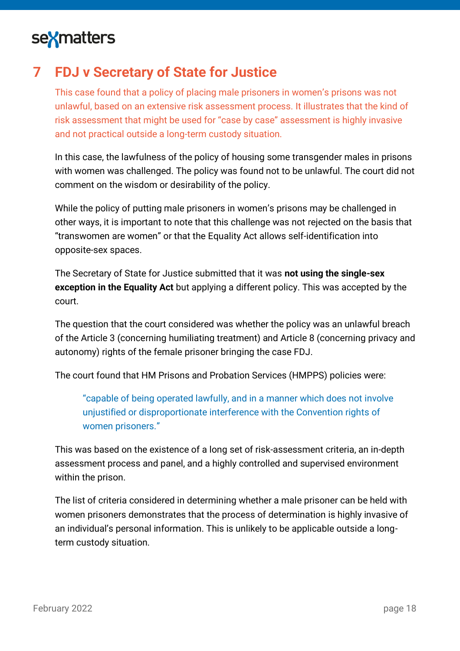# sexmatters

## <span id="page-17-0"></span>**7 FDJ v Secretary of State for Justice**

This case found that a policy of placing male prisoners in women's prisons was not unlawful, based on an extensive risk assessment process. It illustrates that the kind of risk assessment that might be used for "case by case" assessment is highly invasive and not practical outside a long-term custody situation.

In this case, the lawfulness of the policy of housing some transgender males in prisons with women was challenged. The policy was found not to be unlawful. The court did not comment on the wisdom or desirability of the policy.

While the policy of putting male prisoners in women's prisons may be challenged in other ways, it is important to note that this challenge was not rejected on the basis that "transwomen are women" or that the Equality Act allows self-identification into opposite-sex spaces.

The Secretary of State for Justice submitted that it was **not using the single-sex exception in the Equality Act** but applying a different policy. This was accepted by the court.

The question that the court considered was whether the policy was an unlawful breach of the Article 3 (concerning humiliating treatment) and Article 8 (concerning privacy and autonomy) rights of the female prisoner bringing the case FDJ.

The court found that HM Prisons and Probation Services (HMPPS) policies were:

"capable of being operated lawfully, and in a manner which does not involve unjustified or disproportionate interference with the Convention rights of women prisoners."

This was based on the existence of a long set of risk-assessment criteria, an in-depth assessment process and panel, and a highly controlled and supervised environment within the prison.

The list of criteria considered in determining whether a male prisoner can be held with women prisoners demonstrates that the process of determination is highly invasive of an individual's personal information. This is unlikely to be applicable outside a longterm custody situation.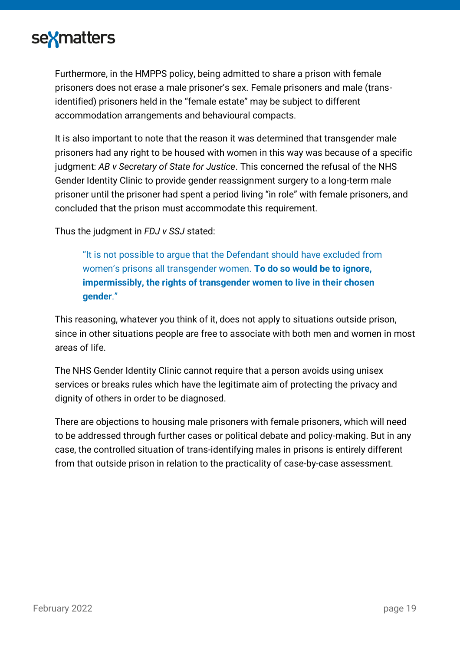

Furthermore, in the HMPPS policy, being admitted to share a prison with female prisoners does not erase a male prisoner's sex. Female prisoners and male (transidentified) prisoners held in the "female estate" may be subject to different accommodation arrangements and behavioural compacts.

It is also important to note that the reason it was determined that transgender male prisoners had any right to be housed with women in this way was because of a specific judgment: *AB v Secretary of State for Justice*. This concerned the refusal of the NHS Gender Identity Clinic to provide gender reassignment surgery to a long-term male prisoner until the prisoner had spent a period living "in role" with female prisoners, and concluded that the prison must accommodate this requirement.

Thus the judgment in *FDJ v SSJ* stated:

"It is not possible to argue that the Defendant should have excluded from women's prisons all transgender women. **To do so would be to ignore, impermissibly, the rights of transgender women to live in their chosen gender**."

This reasoning, whatever you think of it, does not apply to situations outside prison, since in other situations people are free to associate with both men and women in most areas of life.

The NHS Gender Identity Clinic cannot require that a person avoids using unisex services or breaks rules which have the legitimate aim of protecting the privacy and dignity of others in order to be diagnosed.

There are objections to housing male prisoners with female prisoners, which will need to be addressed through further cases or political debate and policy-making. But in any case, the controlled situation of trans-identifying males in prisons is entirely different from that outside prison in relation to the practicality of case-by-case assessment.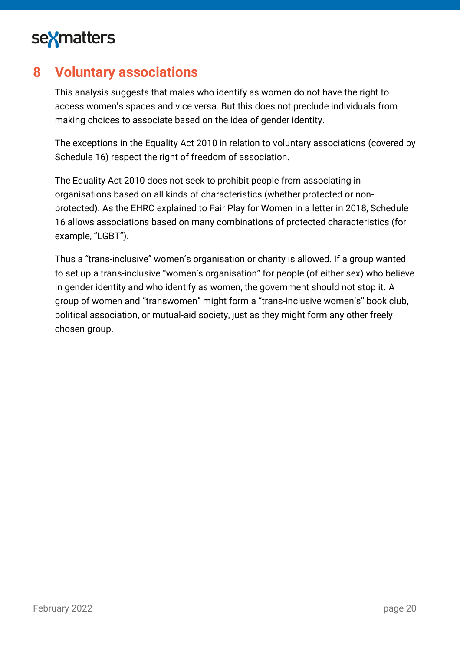

### <span id="page-19-0"></span>**8 Voluntary associations**

This analysis suggests that males who identify as women do not have the right to access women's spaces and vice versa. But this does not preclude individuals from making choices to associate based on the idea of gender identity.

The exceptions in the Equality Act 2010 in relation to voluntary associations (covered by Schedule 16) respect the right of freedom of association.

The Equality Act 2010 does not seek to prohibit people from associating in organisations based on all kinds of characteristics (whether protected or nonprotected). As the EHRC explained to Fair Play for Women in a letter in 2018, Schedule 16 allows associations based on many combinations of protected characteristics (for example, "LGBT").

Thus a "trans-inclusive" women's organisation or charity is allowed. If a group wanted to set up a trans-inclusive "women's organisation" for people (of either sex) who believe in gender identity and who identify as women, the government should not stop it. A group of women and "transwomen" might form a "trans-inclusive women's" book club, political association, or mutual-aid society, just as they might form any other freely chosen group.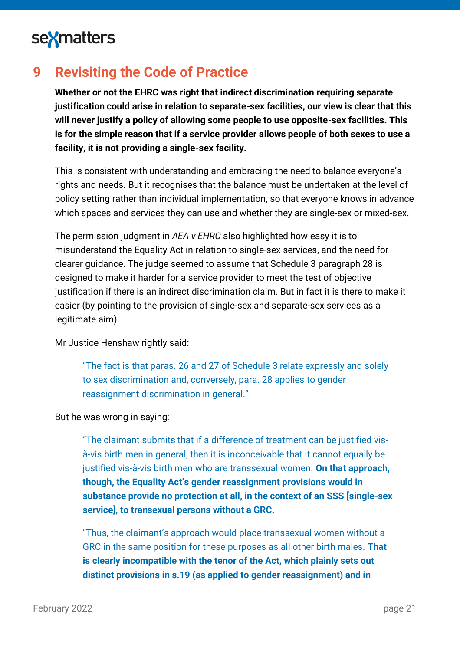

## <span id="page-20-0"></span>**9 Revisiting the Code of Practice**

**Whether or not the EHRC was right that indirect discrimination requiring separate justification could arise in relation to separate-sex facilities, our view is clear that this will never justify a policy of allowing some people to use opposite-sex facilities. This is for the simple reason that if a service provider allows people of both sexes to use a facility, it is not providing a single-sex facility.**

This is consistent with understanding and embracing the need to balance everyone's rights and needs. But it recognises that the balance must be undertaken at the level of policy setting rather than individual implementation, so that everyone knows in advance which spaces and services they can use and whether they are single-sex or mixed-sex.

The permission judgment in *AEA v EHRC* also highlighted how easy it is to misunderstand the Equality Act in relation to single-sex services, and the need for clearer guidance. The judge seemed to assume that Schedule 3 paragraph 28 is designed to make it harder for a service provider to meet the test of objective justification if there is an indirect discrimination claim. But in fact it is there to make it easier (by pointing to the provision of single-sex and separate-sex services as a legitimate aim).

Mr Justice Henshaw rightly said:

"The fact is that paras. 26 and 27 of Schedule 3 relate expressly and solely to sex discrimination and, conversely, para. 28 applies to gender reassignment discrimination in general."

#### But he was wrong in saying:

"The claimant submits that if a difference of treatment can be justified visà-vis birth men in general, then it is inconceivable that it cannot equally be justified vis-à-vis birth men who are transsexual women. **On that approach, though, the Equality Act's gender reassignment provisions would in substance provide no protection at all, in the context of an SSS [single-sex service], to transexual persons without a GRC.**

"Thus, the claimant's approach would place transsexual women without a GRC in the same position for these purposes as all other birth males. **That is clearly incompatible with the tenor of the Act, which plainly sets out distinct provisions in s.19 (as applied to gender reassignment) and in**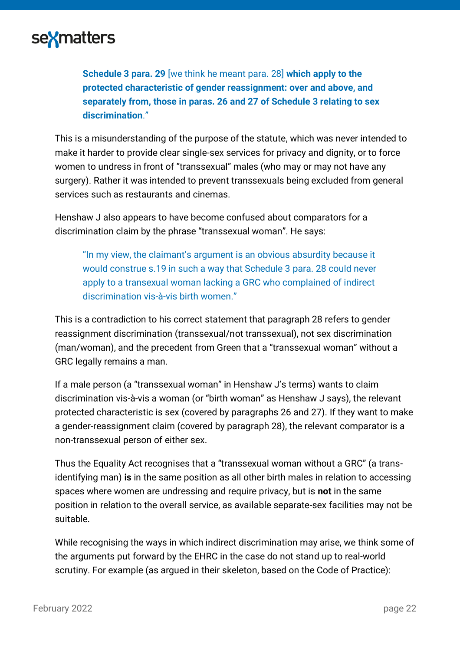

**Schedule 3 para. 29** [we think he meant para. 28] **which apply to the protected characteristic of gender reassignment: over and above, and separately from, those in paras. 26 and 27 of Schedule 3 relating to sex discrimination**."

This is a misunderstanding of the purpose of the statute, which was never intended to make it harder to provide clear single-sex services for privacy and dignity, or to force women to undress in front of "transsexual" males (who may or may not have any surgery). Rather it was intended to prevent transsexuals being excluded from general services such as restaurants and cinemas.

Henshaw J also appears to have become confused about comparators for a discrimination claim by the phrase "transsexual woman". He says:

"In my view, the claimant's argument is an obvious absurdity because it would construe s.19 in such a way that Schedule 3 para. 28 could never apply to a transexual woman lacking a GRC who complained of indirect discrimination vis-à-vis birth women."

This is a contradiction to his correct statement that paragraph 28 refers to gender reassignment discrimination (transsexual/not transsexual), not sex discrimination (man/woman), and the precedent from Green that a "transsexual woman" without a GRC legally remains a man.

If a male person (a "transsexual woman" in Henshaw J's terms) wants to claim discrimination vis-à-vis a woman (or "birth woman" as Henshaw J says), the relevant protected characteristic is sex (covered by paragraphs 26 and 27). If they want to make a gender-reassignment claim (covered by paragraph 28), the relevant comparator is a non-transsexual person of either sex.

Thus the Equality Act recognises that a "transsexual woman without a GRC" (a transidentifying man) **is** in the same position as all other birth males in relation to accessing spaces where women are undressing and require privacy, but is **not** in the same position in relation to the overall service, as available separate-sex facilities may not be suitable.

While recognising the ways in which indirect discrimination may arise, we think some of the arguments put forward by the EHRC in the case do not stand up to real-world scrutiny. For example (as argued in their skeleton, based on the Code of Practice):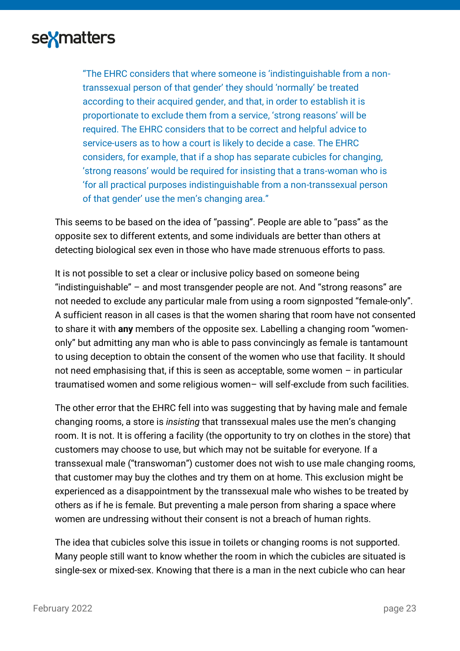

"The EHRC considers that where someone is 'indistinguishable from a nontranssexual person of that gender' they should 'normally' be treated according to their acquired gender, and that, in order to establish it is proportionate to exclude them from a service, 'strong reasons' will be required. The EHRC considers that to be correct and helpful advice to service-users as to how a court is likely to decide a case. The EHRC considers, for example, that if a shop has separate cubicles for changing, 'strong reasons' would be required for insisting that a trans-woman who is 'for all practical purposes indistinguishable from a non-transsexual person of that gender' use the men's changing area."

This seems to be based on the idea of "passing". People are able to "pass" as the opposite sex to different extents, and some individuals are better than others at detecting biological sex even in those who have made strenuous efforts to pass.

It is not possible to set a clear or inclusive policy based on someone being "indistinguishable" – and most transgender people are not. And "strong reasons" are not needed to exclude any particular male from using a room signposted "female-only". A sufficient reason in all cases is that the women sharing that room have not consented to share it with **any** members of the opposite sex. Labelling a changing room "womenonly" but admitting any man who is able to pass convincingly as female is tantamount to using deception to obtain the consent of the women who use that facility. It should not need emphasising that, if this is seen as acceptable, some women – in particular traumatised women and some religious women– will self-exclude from such facilities.

The other error that the EHRC fell into was suggesting that by having male and female changing rooms, a store is *insisting* that transsexual males use the men's changing room. It is not. It is offering a facility (the opportunity to try on clothes in the store) that customers may choose to use, but which may not be suitable for everyone. If a transsexual male ("transwoman") customer does not wish to use male changing rooms, that customer may buy the clothes and try them on at home. This exclusion might be experienced as a disappointment by the transsexual male who wishes to be treated by others as if he is female. But preventing a male person from sharing a space where women are undressing without their consent is not a breach of human rights.

The idea that cubicles solve this issue in toilets or changing rooms is not supported. Many people still want to know whether the room in which the cubicles are situated is single-sex or mixed-sex. Knowing that there is a man in the next cubicle who can hear